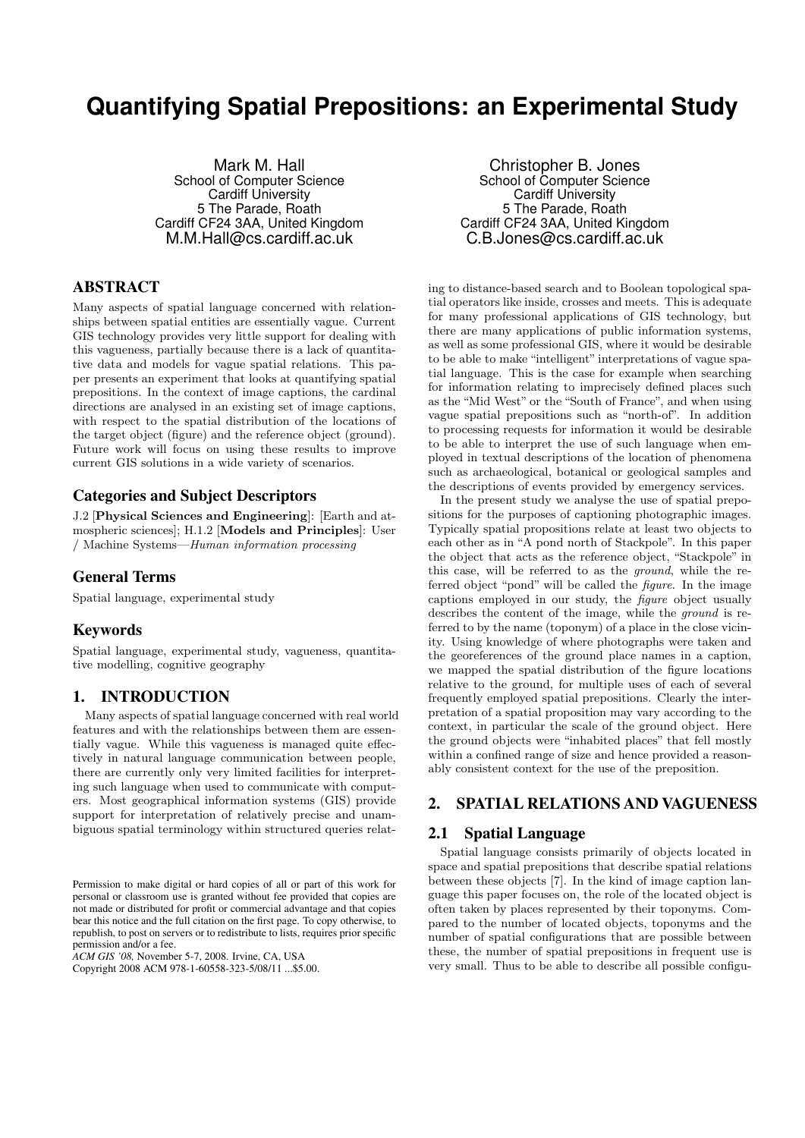# **Quantifying Spatial Prepositions: an Experimental Study**

Mark M. Hall School of Computer Science Cardiff University 5 The Parade, Roath Cardiff CF24 3AA, United Kingdom M.M.Hall@cs.cardiff.ac.uk

#### ABSTRACT

Many aspects of spatial language concerned with relationships between spatial entities are essentially vague. Current GIS technology provides very little support for dealing with this vagueness, partially because there is a lack of quantitative data and models for vague spatial relations. This paper presents an experiment that looks at quantifying spatial prepositions. In the context of image captions, the cardinal directions are analysed in an existing set of image captions, with respect to the spatial distribution of the locations of the target object (figure) and the reference object (ground). Future work will focus on using these results to improve current GIS solutions in a wide variety of scenarios.

## Categories and Subject Descriptors

J.2 [Physical Sciences and Engineering]: [Earth and atmospheric sciences]; H.1.2 [Models and Principles]: User / Machine Systems—Human information processing

### General Terms

Spatial language, experimental study

### Keywords

Spatial language, experimental study, vagueness, quantitative modelling, cognitive geography

## 1. INTRODUCTION

Many aspects of spatial language concerned with real world features and with the relationships between them are essentially vague. While this vagueness is managed quite effectively in natural language communication between people, there are currently only very limited facilities for interpreting such language when used to communicate with computers. Most geographical information systems (GIS) provide support for interpretation of relatively precise and unambiguous spatial terminology within structured queries relat-

*ACM GIS '08,* November 5-7, 2008. Irvine, CA, USA

Copyright 2008 ACM 978-1-60558-323-5/08/11 ...\$5.00.

Christopher B. Jones School of Computer Science Cardiff University 5 The Parade, Roath Cardiff CF24 3AA, United Kingdom C.B.Jones@cs.cardiff.ac.uk

ing to distance-based search and to Boolean topological spatial operators like inside, crosses and meets. This is adequate for many professional applications of GIS technology, but there are many applications of public information systems, as well as some professional GIS, where it would be desirable to be able to make "intelligent" interpretations of vague spatial language. This is the case for example when searching for information relating to imprecisely defined places such as the "Mid West" or the "South of France", and when using vague spatial prepositions such as "north-of". In addition to processing requests for information it would be desirable to be able to interpret the use of such language when employed in textual descriptions of the location of phenomena such as archaeological, botanical or geological samples and the descriptions of events provided by emergency services.

In the present study we analyse the use of spatial prepositions for the purposes of captioning photographic images. Typically spatial propositions relate at least two objects to each other as in "A pond north of Stackpole". In this paper the object that acts as the reference object, "Stackpole" in this case, will be referred to as the ground, while the referred object "pond" will be called the figure. In the image captions employed in our study, the figure object usually describes the content of the image, while the ground is referred to by the name (toponym) of a place in the close vicinity. Using knowledge of where photographs were taken and the georeferences of the ground place names in a caption, we mapped the spatial distribution of the figure locations relative to the ground, for multiple uses of each of several frequently employed spatial prepositions. Clearly the interpretation of a spatial proposition may vary according to the context, in particular the scale of the ground object. Here the ground objects were "inhabited places" that fell mostly within a confined range of size and hence provided a reasonably consistent context for the use of the preposition.

# 2. SPATIAL RELATIONS AND VAGUENESS

#### 2.1 Spatial Language

Spatial language consists primarily of objects located in space and spatial prepositions that describe spatial relations between these objects [7]. In the kind of image caption language this paper focuses on, the role of the located object is often taken by places represented by their toponyms. Compared to the number of located objects, toponyms and the number of spatial configurations that are possible between these, the number of spatial prepositions in frequent use is very small. Thus to be able to describe all possible configu-

Permission to make digital or hard copies of all or part of this work for personal or classroom use is granted without fee provided that copies are not made or distributed for profit or commercial advantage and that copies bear this notice and the full citation on the first page. To copy otherwise, to republish, to post on servers or to redistribute to lists, requires prior specific permission and/or a fee.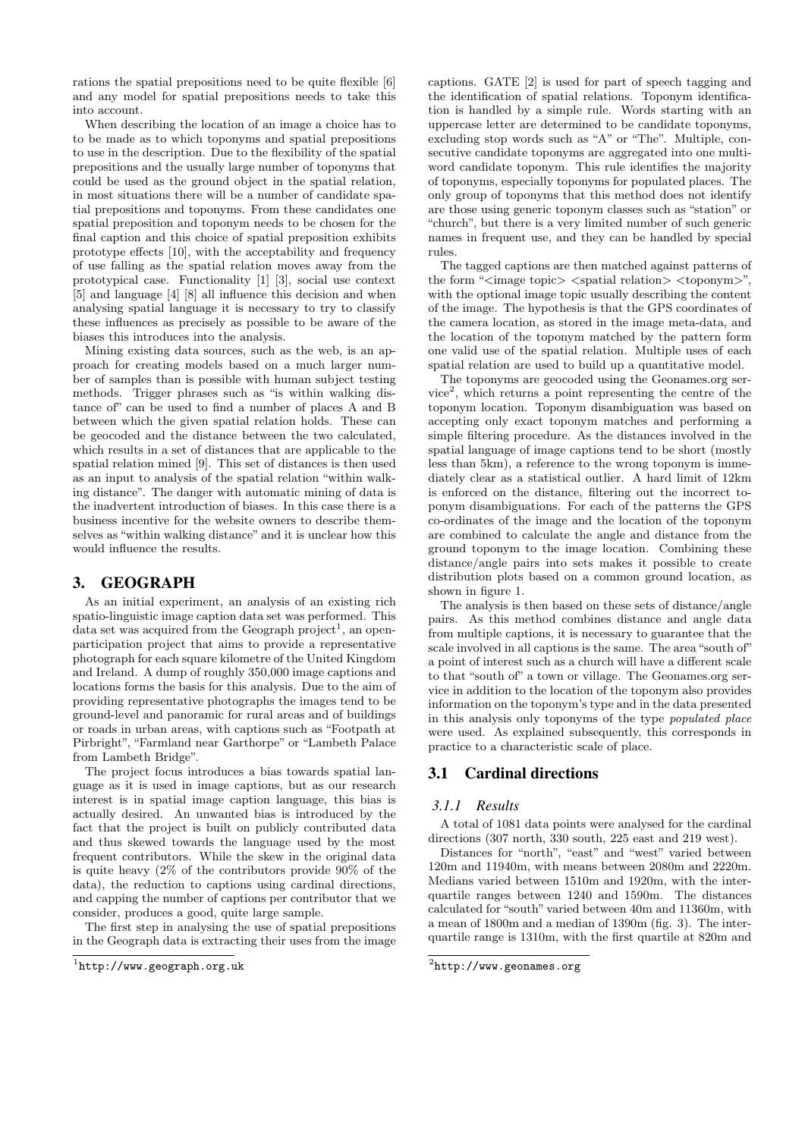rations the spatial prepositions need to be quite flexible [6] and any model for spatial prepositions needs to take this into account.

When describing the location of an image a choice has to to be made as to which toponyms and spatial prepositions to use in the description. Due to the flexibility of the spatial prepositions and the usually large number of toponyms that could be used as the ground object in the spatial relation, in most situations there will be a number of candidate spatial prepositions and toponyms. From these candidates one spatial preposition and toponym needs to be chosen for the final caption and this choice of spatial preposition exhibits prototype effects [10], with the acceptability and frequency of use falling as the spatial relation moves away from the prototypical case. Functionality [1] [3], social use context [5] and language [4] [8] all influence this decision and when analysing spatial language it is necessary to try to classify these influences as precisely as possible to be aware of the biases this introduces into the analysis.

Mining existing data sources, such as the web, is an approach for creating models based on a much larger number of samples than is possible with human subject testing methods. Trigger phrases such as "is within walking distance of" can be used to find a number of places A and B between which the given spatial relation holds. These can be geocoded and the distance between the two calculated, which results in a set of distances that are applicable to the spatial relation mined [9]. This set of distances is then used as an input to analysis of the spatial relation "within walking distance". The danger with automatic mining of data is the inadvertent introduction of biases. In this case there is a business incentive for the website owners to describe themselves as "within walking distance" and it is unclear how this would influence the results.

### 3. GEOGRAPH

As an initial experiment, an analysis of an existing rich spatio-linguistic image caption data set was performed. This data set was acquired from the Geograph project<sup>1</sup>, an openparticipation project that aims to provide a representative photograph for each square kilometre of the United Kingdom and Ireland. A dump of roughly 350,000 image captions and locations forms the basis for this analysis. Due to the aim of providing representative photographs the images tend to be ground-level and panoramic for rural areas and of buildings or roads in urban areas, with captions such as "Footpath at Pirbright", "Farmland near Garthorpe" or "Lambeth Palace from Lambeth Bridge".

The project focus introduces a bias towards spatial language as it is used in image captions, but as our research interest is in spatial image caption language, this bias is actually desired. An unwanted bias is introduced by the fact that the project is built on publicly contributed data and thus skewed towards the language used by the most frequent contributors. While the skew in the original data is quite heavy (2% of the contributors provide 90% of the data), the reduction to captions using cardinal directions, and capping the number of captions per contributor that we consider, produces a good, quite large sample.

The first step in analysing the use of spatial prepositions in the Geograph data is extracting their uses from the image

captions. GATE [2] is used for part of speech tagging and the identification of spatial relations. Toponym identification is handled by a simple rule. Words starting with an uppercase letter are determined to be candidate toponyms, excluding stop words such as "A" or "The". Multiple, consecutive candidate toponyms are aggregated into one multiword candidate toponym. This rule identifies the majority of toponyms, especially toponyms for populated places. The only group of toponyms that this method does not identify are those using generic toponym classes such as "station" or "church", but there is a very limited number of such generic names in frequent use, and they can be handled by special rules.

The tagged captions are then matched against patterns of the form " $\langle$ image topic $\rangle$   $\langle$ spatial relation $\rangle$  $\langle$ toponym $\rangle$ ". with the optional image topic usually describing the content of the image. The hypothesis is that the GPS coordinates of the camera location, as stored in the image meta-data, and the location of the toponym matched by the pattern form one valid use of the spatial relation. Multiple uses of each spatial relation are used to build up a quantitative model.

The toponyms are geocoded using the Geonames.org ser $vice<sup>2</sup>$ , which returns a point representing the centre of the toponym location. Toponym disambiguation was based on accepting only exact toponym matches and performing a simple filtering procedure. As the distances involved in the spatial language of image captions tend to be short (mostly less than 5km), a reference to the wrong toponym is immediately clear as a statistical outlier. A hard limit of 12km is enforced on the distance, filtering out the incorrect toponym disambiguations. For each of the patterns the GPS co-ordinates of the image and the location of the toponym are combined to calculate the angle and distance from the ground toponym to the image location. Combining these distance/angle pairs into sets makes it possible to create distribution plots based on a common ground location, as shown in figure 1.

The analysis is then based on these sets of distance/angle pairs. As this method combines distance and angle data from multiple captions, it is necessary to guarantee that the scale involved in all captions is the same. The area "south of" a point of interest such as a church will have a different scale to that "south of" a town or village. The Geonames.org service in addition to the location of the toponym also provides information on the toponym's type and in the data presented in this analysis only toponyms of the type populated place were used. As explained subsequently, this corresponds in practice to a characteristic scale of place.

# 3.1 Cardinal directions

#### *3.1.1 Results*

A total of 1081 data points were analysed for the cardinal directions (307 north, 330 south, 225 east and 219 west).

Distances for "north", "east" and "west" varied between 120m and 11940m, with means between 2080m and 2220m. Medians varied between 1510m and 1920m, with the interquartile ranges between 1240 and 1590m. The distances calculated for "south" varied between 40m and 11360m, with a mean of 1800m and a median of 1390m (fig. 3). The interquartile range is 1310m, with the first quartile at 820m and

 $1$ http://www.geograph.org.uk

 $^{2}$ http://www.geonames.org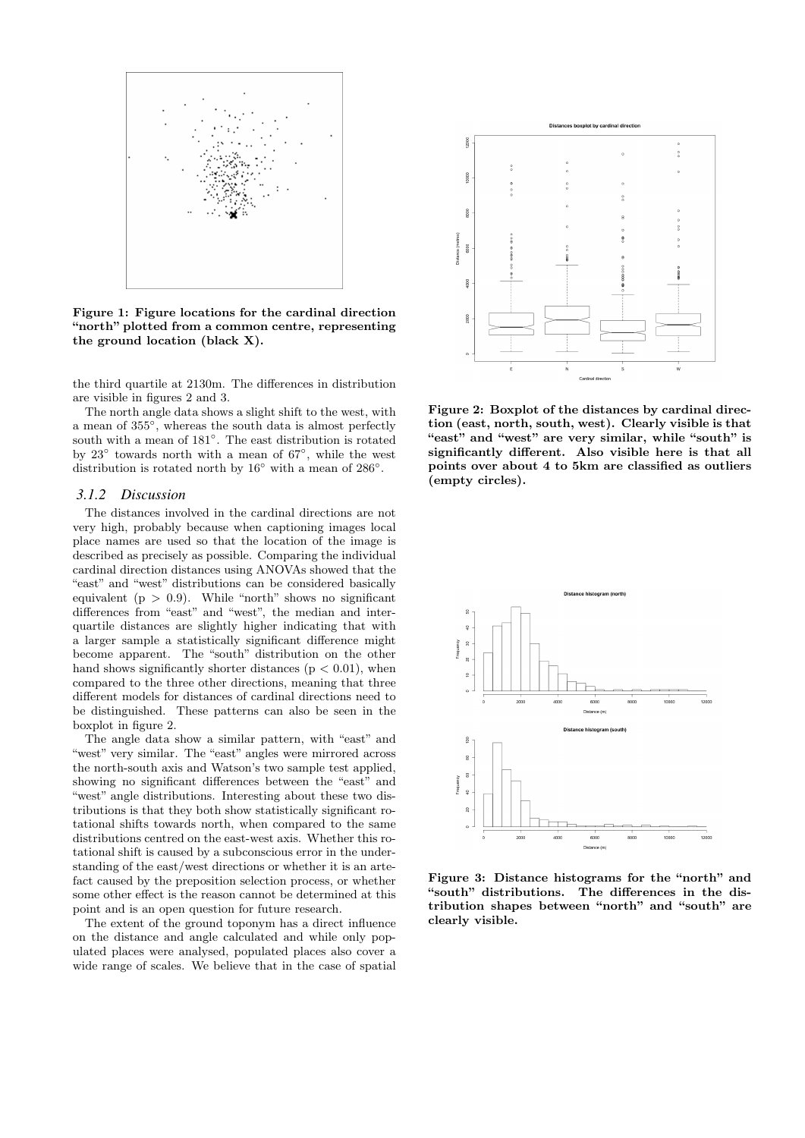

Figure 1: Figure locations for the cardinal direction "north" plotted from a common centre, representing the ground location (black X).

the third quartile at 2130m. The differences in distribution are visible in figures 2 and 3.

The north angle data shows a slight shift to the west, with a mean of 355◦ , whereas the south data is almost perfectly south with a mean of 181◦ . The east distribution is rotated by 23◦ towards north with a mean of 67◦ , while the west distribution is rotated north by  $16°$  with a mean of  $286°$ .

#### *3.1.2 Discussion*

The distances involved in the cardinal directions are not very high, probably because when captioning images local place names are used so that the location of the image is described as precisely as possible. Comparing the individual cardinal direction distances using ANOVAs showed that the "east" and "west" distributions can be considered basically equivalent ( $p > 0.9$ ). While "north" shows no significant differences from "east" and "west", the median and interquartile distances are slightly higher indicating that with a larger sample a statistically significant difference might become apparent. The "south" distribution on the other hand shows significantly shorter distances ( $p < 0.01$ ), when compared to the three other directions, meaning that three different models for distances of cardinal directions need to be distinguished. These patterns can also be seen in the boxplot in figure 2.

The angle data show a similar pattern, with "east" and "west" very similar. The "east" angles were mirrored across the north-south axis and Watson's two sample test applied, showing no significant differences between the "east" and "west" angle distributions. Interesting about these two distributions is that they both show statistically significant rotational shifts towards north, when compared to the same distributions centred on the east-west axis. Whether this rotational shift is caused by a subconscious error in the understanding of the east/west directions or whether it is an artefact caused by the preposition selection process, or whether some other effect is the reason cannot be determined at this point and is an open question for future research.

The extent of the ground toponym has a direct influence on the distance and angle calculated and while only populated places were analysed, populated places also cover a wide range of scales. We believe that in the case of spatial



Figure 2: Boxplot of the distances by cardinal direction (east, north, south, west). Clearly visible is that "east" and "west" are very similar, while "south" is significantly different. Also visible here is that all points over about 4 to 5km are classified as outliers (empty circles).



Figure 3: Distance histograms for the "north" and "south" distributions. The differences in the distribution shapes between "north" and "south" are clearly visible.